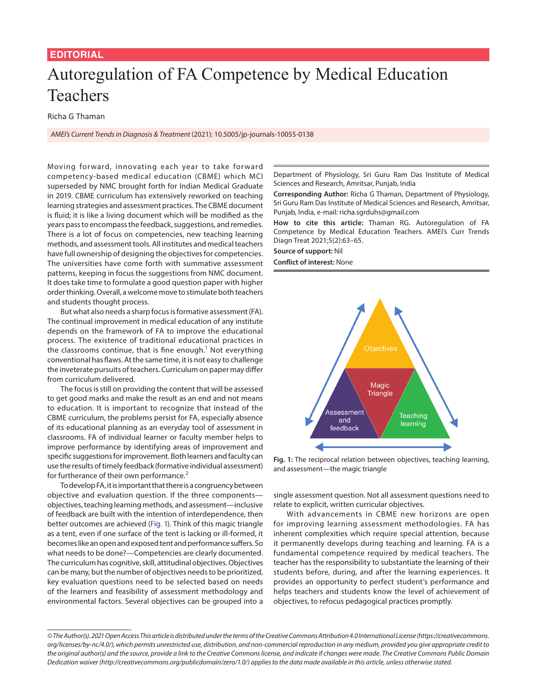## **EDITORIAL**

## Autoregulation of FA Competence by Medical Education Teachers

Richa G Thaman

*AMEI's Current Trends in Diagnosis & Treatment* (2021): 10.5005/jp-journals-10055-0138

Moving forward, innovating each year to take forward competency-based medical education (CBME) which MCI superseded by NMC brought forth for Indian Medical Graduate in 2019. CBME curriculum has extensively reworked on teaching learning strategies and assessment practices. The CBME document is fluid; it is like a living document which will be modified as the years pass to encompass the feedback, suggestions, and remedies. There is a lot of focus on competencies, new teaching learning methods, and assessment tools. All institutes and medical teachers have full ownership of designing the objectives for competencies. The universities have come forth with summative assessment patterns, keeping in focus the suggestions from NMC document. It does take time to formulate a good question paper with higher order thinking. Overall, a welcome move to stimulate both teachers and students thought process.

But what also needs a sharp focus is formative assessment (FA). The continual improvement in medical education of any institute depends on the framework of FA to improve the educational process. The existence of traditional educational practices in the classrooms continue, that is fine enough. $^1$  $^1$  Not everything conventional has flaws. At the same time, it is not easy to challenge the inveterate pursuits of teachers. Curriculum on paper may differ from curriculum delivered.

The focus is still on providing the content that will be assessed to get good marks and make the result as an end and not means to education. It is important to recognize that instead of the CBME curriculum, the problems persist for FA, especially absence of its educational planning as an everyday tool of assessment in classrooms. FA of individual learner or faculty member helps to improve performance by identifying areas of improvement and specific suggestions for improvement. Both learners and faculty can use the results of timely feedback (formative individual assessment) for furtherance of their own performance.<sup>[2](#page-1-1)</sup>

To develop FA, it is important that there is a congruency between objective and evaluation question. If the three components objectives, teaching learning methods, and assessment—inclusive of feedback are built with the intention of interdependence, then better outcomes are achieved ([Fig. 1\)](#page-0-0). Think of this magic triangle as a tent, even if one surface of the tent is lacking or ill-formed, it becomes like an open and exposed tent and performance suffers. So what needs to be done?—Competencies are clearly documented. The curriculum has cognitive, skill, attitudinal objectives. Objectives can be many, but the number of objectives needs to be prioritized, key evaluation questions need to be selected based on needs of the learners and feasibility of assessment methodology and environmental factors. Several objectives can be grouped into a

Department of Physiology, Sri Guru Ram Das Institute of Medical Sciences and Research, Amritsar, Punjab, India

**Corresponding Author:** Richa G Thaman, Department of Physiology, Sri Guru Ram Das Institute of Medical Sciences and Research, Amritsar, Punjab, India, e-mail: richa.sgrduhs@gmail.com

**How to cite this article:** Thaman RG. Autoregulation of FA Competence by Medical Education Teachers. AMEI's Curr Trends Diagn Treat 2021;5(2):63–65.

**Source of support:** Nil **Conflict of interest:** None



<span id="page-0-0"></span>**Fig. 1:** The reciprocal relation between objectives, teaching learning, and assessment—the magic triangle

single assessment question. Not all assessment questions need to relate to explicit, written curricular objectives.

With advancements in CBME new horizons are open for improving learning assessment methodologies. FA has inherent complexities which require special attention, because it permanently develops during teaching and learning. FA is a fundamental competence required by medical teachers. The teacher has the responsibility to substantiate the learning of their students before, during, and after the learning experiences. It provides an opportunity to perfect student's performance and helps teachers and students know the level of achievement of objectives, to refocus pedagogical practices promptly.

*<sup>©</sup> The Author(s). 2021 Open Access This article is distributed under the terms of the Creative Commons Attribution 4.0 International License ([https://creativecommons.](https://creativecommons. org/licenses/by-nc/4.0/) [org/licenses/by-nc/4.0/](https://creativecommons. org/licenses/by-nc/4.0/)), which permits unrestricted use, distribution, and non-commercial reproduction in any medium, provided you give appropriate credit to the original author(s) and the source, provide a link to the Creative Commons license, and indicate if changes were made. The Creative Commons Public Domain Dedication waiver ([http://creativecommons.org/publicdomain/zero/1.0/\)](http://creativecommons.org/publicdomain/zero/1.0/) applies to the data made available in this article, unless otherwise stated.*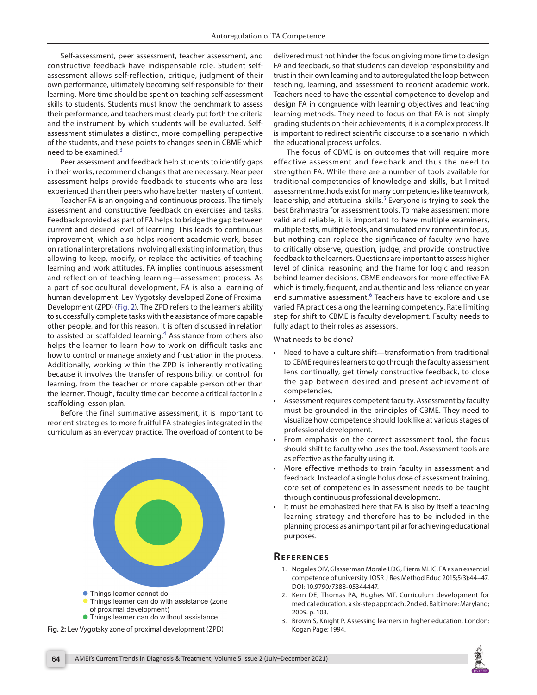Self-assessment, peer assessment, teacher assessment, and constructive feedback have indispensable role. Student selfassessment allows self-reflection, critique, judgment of their own performance, ultimately becoming self-responsible for their learning. More time should be spent on teaching self-assessment skills to students. Students must know the benchmark to assess their performance, and teachers must clearly put forth the criteria and the instrument by which students will be evaluated. Selfassessment stimulates a distinct, more compelling perspective of the students, and these points to changes seen in CBME which need to be examined. $3$ 

Peer assessment and feedback help students to identify gaps in their works, recommend changes that are necessary. Near peer assessment helps provide feedback to students who are less experienced than their peers who have better mastery of content.

Teacher FA is an ongoing and continuous process. The timely assessment and constructive feedback on exercises and tasks. Feedback provided as part of FA helps to bridge the gap between current and desired level of learning. This leads to continuous improvement, which also helps reorient academic work, based on rational interpretations involving all existing information, thus allowing to keep, modify, or replace the activities of teaching learning and work attitudes. FA implies continuous assessment and reflection of teaching-learning—assessment process. As a part of sociocultural development, FA is also a learning of human development. Lev Vygotsky developed Zone of Proximal Development (ZPD) ([Fig. 2\)](#page-1-3). The ZPD refers to the learner's ability to successfully complete tasks with the assistance of more capable other people, and for this reason, it is often discussed in relation to assisted or scaffolded learning.<sup>[4](#page-2-0)</sup> Assistance from others also helps the learner to learn how to work on difficult tasks and how to control or manage anxiety and frustration in the process. Additionally, working within the ZPD is inherently motivating because it involves the transfer of responsibility, or control, for learning, from the teacher or more capable person other than the learner. Though, faculty time can become a critical factor in a scaffolding lesson plan.

Before the final summative assessment, it is important to reorient strategies to more fruitful FA strategies integrated in the curriculum as an everyday practice. The overload of content to be



<span id="page-1-3"></span>Fig. 2: Lev Vygotsky zone of proximal development (ZPD) Kogan Page; 1994.

delivered must not hinder the focus on giving more time to design FA and feedback, so that students can develop responsibility and trust in their own learning and to autoregulated the loop between teaching, learning, and assessment to reorient academic work. Teachers need to have the essential competence to develop and design FA in congruence with learning objectives and teaching learning methods. They need to focus on that FA is not simply grading students on their achievements; it is a complex process. It is important to redirect scientific discourse to a scenario in which the educational process unfolds.

The focus of CBME is on outcomes that will require more effective assessment and feedback and thus the need to strengthen FA. While there are a number of tools available for traditional competencies of knowledge and skills, but limited assessment methods exist for many competencies like teamwork, leadership, and attitudinal skills.<sup>[5](#page-2-1)</sup> Everyone is trying to seek the best Brahmastra for assessment tools. To make assessment more valid and reliable, it is important to have multiple examiners, multiple tests, multiple tools, and simulated environment in focus, but nothing can replace the significance of faculty who have to critically observe, question, judge, and provide constructive feedback to the learners. Questions are important to assess higher level of clinical reasoning and the frame for logic and reason behind learner decisions. CBME endeavors for more effective FA which is timely, frequent, and authentic and less reliance on year end summative assessment.<sup>[6](#page-2-2)</sup> Teachers have to explore and use varied FA practices along the learning competency. Rate limiting step for shift to CBME is faculty development. Faculty needs to fully adapt to their roles as assessors.

What needs to be done?

- Need to have a culture shift—transformation from traditional to CBME requires learners to go through the faculty assessment lens continually, get timely constructive feedback, to close the gap between desired and present achievement of competencies.
- Assessment requires competent faculty. Assessment by faculty must be grounded in the principles of CBME. They need to visualize how competence should look like at various stages of professional development.
- From emphasis on the correct assessment tool, the focus should shift to faculty who uses the tool. Assessment tools are as effective as the faculty using it.
- More effective methods to train faculty in assessment and feedback. Instead of a single bolus dose of assessment training, core set of competencies in assessment needs to be taught through continuous professional development.
- It must be emphasized here that FA is also by itself a teaching learning strategy and therefore has to be included in the planning process as an important pillar for achieving educational purposes.

## **Re f erenc es**

- <span id="page-1-0"></span>1. Nogales OIV, Glasserman Morale LDG, Pierra MLIC. FA as an essential competence of university. IOSR J Res Method Educ 2015;5(3):44–47. DOI: 10.9790/7388-05344447.
- <span id="page-1-1"></span>2. Kern DE, Thomas PA, Hughes MT. Curriculum development for medical education. a six-step approach. 2nd ed. Baltimore: Maryland; 2009. p. 103.
- <span id="page-1-2"></span>3. Brown S, Knight P. Assessing learners in higher education. London: